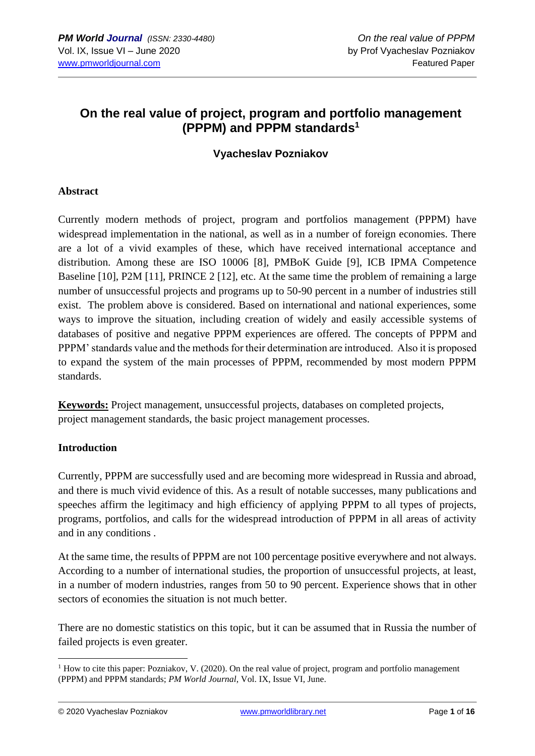# **On the real value of project, program and portfolio management (PPPM) and PPPM standards<sup>1</sup>**

## **Vyacheslav Pozniakov**

#### **Abstract**

Currently modern methods of project, program and portfolios management (PPPM) have widespread implementation in the national, as well as in a number of foreign economies. There are a lot of a vivid examples of these, which have received international acceptance and distribution. Among these are ISO 10006 [8], PMBoK Guide [9], ICB IPMA Competence Baseline [10], P2M [11], PRINCE 2 [12], etc. At the same time the problem of remaining a large number of unsuccessful projects and programs up to 50-90 percent in a number of industries still exist. The problem above is considered. Based on international and national experiences, some ways to improve the situation, including creation of widely and easily accessible systems of databases of positive and negative PPPM experiences are offered. The concepts of PPPM and PPPM' standards value and the methods for their determination are introduced. Also it is proposed to expand the system of the main processes of PPPM, recommended by most modern PPPM standards.

**Keywords:** Project management, unsuccessful projects, databases on completed projects, project management standards, the basic project management processes.

#### **Introduction**

Currently, PPPM are successfully used and are becoming more widespread in Russia and abroad, and there is much vivid evidence of this. As a result of notable successes, many publications and speeches affirm the legitimacy and high efficiency of applying PPPM to all types of projects, programs, portfolios, and calls for the widespread introduction of PPPM in all areas of activity and in any conditions .

At the same time, the results of PPPM are not 100 percentage positive everywhere and not always. According to a number of international studies, the proportion of unsuccessful projects, at least, in a number of modern industries, ranges from 50 to 90 percent. Experience shows that in other sectors of economies the situation is not much better.

There are no domestic statistics on this topic, but it can be assumed that in Russia the number of failed projects is even greater.

© 2020 Vyacheslav Pozniakov [www.pmworldlibrary.net](http://www.pmworldlibrary.net/) Page **1** of **16**

<sup>&</sup>lt;sup>1</sup> How to cite this paper: Pozniakov, V. (2020). On the real value of project, program and portfolio management (PPPM) and PPPM standards; *PM World Journal*, Vol. IX, Issue VI, June.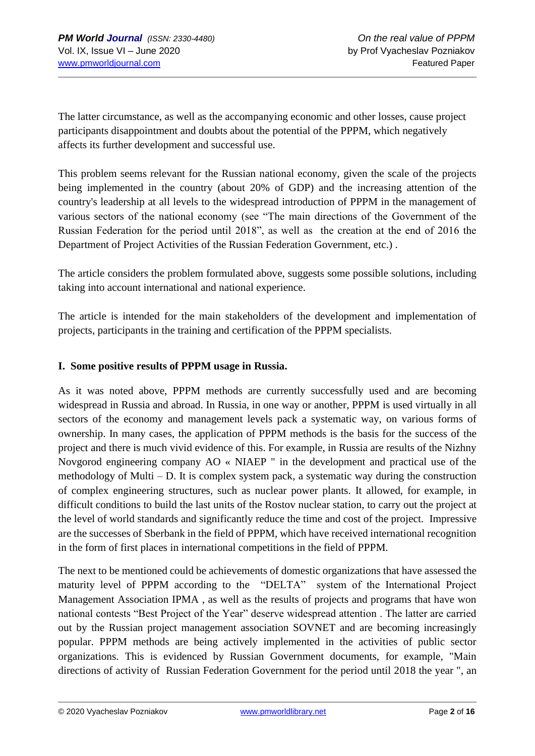The latter circumstance, as well as the accompanying economic and other losses, cause project participants disappointment and doubts about the potential of the PPPM, which negatively affects its further development and successful use.

This problem seems relevant for the Russian national economy, given the scale of the projects being implemented in the country (about 20% of GDP) and the increasing attention of the country's leadership at all levels to the widespread introduction of PPPM in the management of various sectors of the national economy (see "The main directions of the Government of the Russian Federation for the period until 2018", as well as the creation at the end of 2016 the Department of Project Activities of the Russian Federation Government, etc.) .

The article considers the problem formulated above, suggests some possible solutions, including taking into account international and national experience.

The article is intended for the main stakeholders of the development and implementation of projects, participants in the training and certification of the PPPM specialists.

### **I. Some positive results of PPPM usage in Russia.**

As it was noted above, PPPM methods are currently successfully used and are becoming widespread in Russia and abroad. In Russia, in one way or another, PPPM is used virtually in all sectors of the economy and management levels pack a systematic way, on various forms of ownership. In many cases, the application of PPPM methods is the basis for the success of the project and there is much vivid evidence of this. For example, in Russia are results of the Nizhny Novgorod engineering company AO « NIAEP " in the development and practical use of the methodology of Multi – D. It is complex system pack, a systematic way during the construction of complex engineering structures, such as nuclear power plants. It allowed, for example, in difficult conditions to build the last units of the Rostov nuclear station, to carry out the project at the level of world standards and significantly reduce the time and cost of the project. Impressive are the successes of Sberbank in the field of PPPM, which have received international recognition in the form of first places in international competitions in the field of PPPM.

The next to be mentioned could be achievements of domestic organizations that have assessed the maturity level of PPPM according to the "DELTA" system of the International Project Management Association IPMA , as well as the results of projects and programs that have won national contests "Best Project of the Year" deserve widespread attention . The latter are carried out by the Russian project management association SOVNET and are becoming increasingly popular. PPPM methods are being actively implemented in the activities of public sector organizations. This is evidenced by Russian Government documents, for example, "Main directions of activity of Russian Federation Government for the period until 2018 the year ", an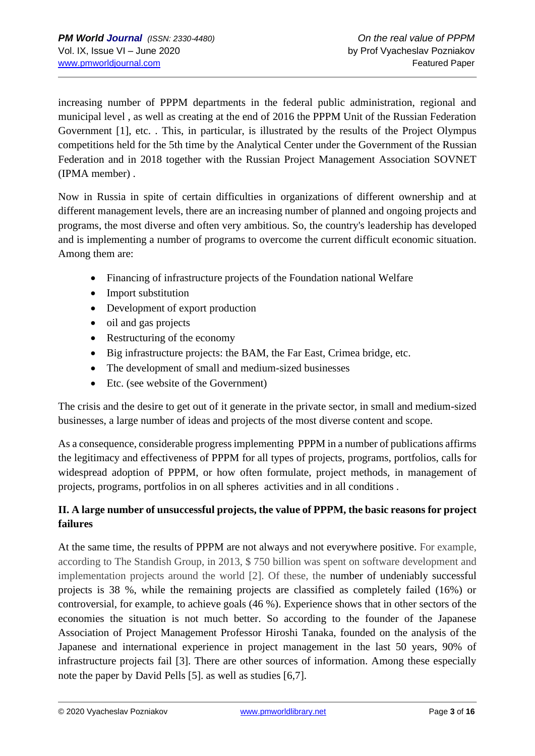increasing number of PPPM departments in the federal public administration, regional and municipal level , as well as creating at the end of 2016 the PPPM Unit of the Russian Federation Government [1], etc. . This, in particular, is illustrated by the results of the Project Olympus competitions held for the 5th time by the Analytical Center under the Government of the Russian Federation and in 2018 together with the Russian Project Management Association SOVNET (IPMA member) .

Now in Russia in spite of certain difficulties in organizations of different ownership and at different management levels, there are an increasing number of planned and ongoing projects and programs, the most diverse and often very ambitious. So, the country's leadership has developed and is implementing a number of programs to overcome the current difficult economic situation. Among them are:

- Financing of infrastructure projects of the Foundation national Welfare
- Import substitution
- Development of export production
- oil and gas projects
- Restructuring of the economy
- Big infrastructure projects: the BAM, the Far East, Crimea bridge, etc.
- The development of small and medium-sized businesses
- Etc. (see website of the Government)

The crisis and the desire to get out of it generate in the private sector, in small and medium-sized businesses, a large number of ideas and projects of the most diverse content and scope.

As a consequence, considerable progress implementing PPPM in a number of publications affirms the legitimacy and effectiveness of PPPM for all types of projects, programs, portfolios, calls for widespread adoption of PPPM, or how often formulate, project methods, in management of projects, programs, portfolios in on all spheres activities and in all conditions .

### **II. A large number of unsuccessful projects, the value of PPPM, the basic reasons for project failures**

At the same time, the results of PPPM are not always and not everywhere positive. For example, according to The Standish Group, in 2013, \$ 750 billion was spent on software development and implementation projects around the world [2]. Of these, the number of undeniably successful projects is 38 %, while the remaining projects are classified as completely failed (16%) or controversial, for example, to achieve goals (46 %). Experience shows that in other sectors of the economies the situation is not much better. So according to the founder of the Japanese Association of Project Management Professor Hiroshi Tanaka, founded on the analysis of the Japanese and international experience in project management in the last 50 years, 90% of infrastructure projects fail [3]. There are other sources of information. Among these especially note the paper by David Pells [5]. as well as studies [6,7].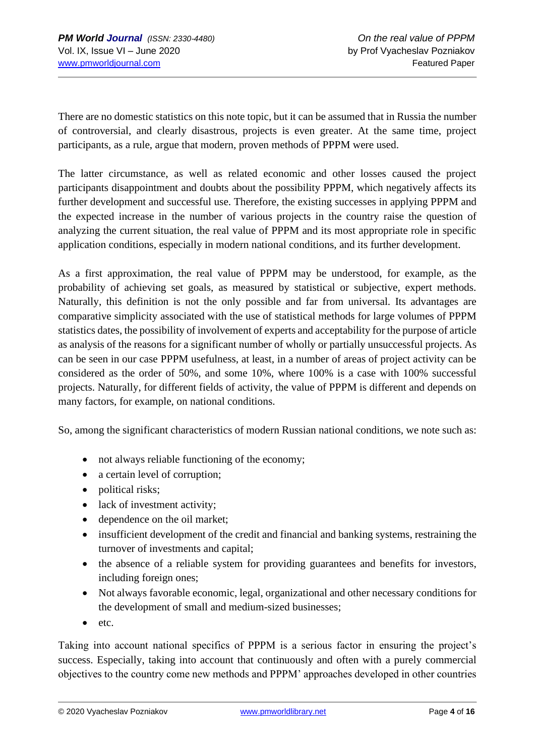There are no domestic statistics on this note topic, but it can be assumed that in Russia the number of controversial, and clearly disastrous, projects is even greater. At the same time, project participants, as a rule, argue that modern, proven methods of PPPM were used.

The latter circumstance, as well as related economic and other losses caused the project participants disappointment and doubts about the possibility PPPM, which negatively affects its further development and successful use. Therefore, the existing successes in applying PPPM and the expected increase in the number of various projects in the country raise the question of analyzing the current situation, the real value of PPPM and its most appropriate role in specific application conditions, especially in modern national conditions, and its further development.

As a first approximation, the real value of PPPM may be understood, for example, as the probability of achieving set goals, as measured by statistical or subjective, expert methods. Naturally, this definition is not the only possible and far from universal. Its advantages are comparative simplicity associated with the use of statistical methods for large volumes of PPPM statistics dates, the possibility of involvement of experts and acceptability for the purpose of article as analysis of the reasons for a significant number of wholly or partially unsuccessful projects. As can be seen in our case PPPM usefulness, at least, in a number of areas of project activity can be considered as the order of 50%, and some 10%, where 100% is a case with 100% successful projects. Naturally, for different fields of activity, the value of PPPM is different and depends on many factors, for example, on national conditions.

So, among the significant characteristics of modern Russian national conditions, we note such as:

- not always reliable functioning of the economy;
- a certain level of corruption;
- political risks;
- lack of investment activity;
- dependence on the oil market;
- insufficient development of the credit and financial and banking systems, restraining the turnover of investments and capital;
- the absence of a reliable system for providing guarantees and benefits for investors, including foreign ones;
- Not always favorable economic, legal, organizational and other necessary conditions for the development of small and medium-sized businesses;
- etc.

Taking into account national specifics of PPPM is a serious factor in ensuring the project's success. Especially, taking into account that continuously and often with a purely commercial objectives to the country come new methods and PPPM' approaches developed in other countries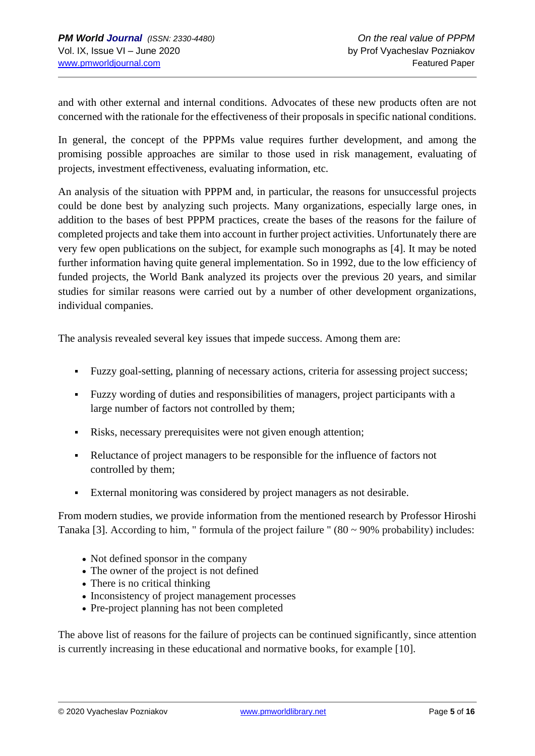and with other external and internal conditions. Advocates of these new products often are not concerned with the rationale for the effectiveness of their proposals in specific national conditions.

In general, the concept of the PPPMs value requires further development, and among the promising possible approaches are similar to those used in risk management, evaluating of projects, investment effectiveness, evaluating information, etc.

An analysis of the situation with PPPM and, in particular, the reasons for unsuccessful projects could be done best by analyzing such projects. Many organizations, especially large ones, in addition to the bases of best PPPM practices, create the bases of the reasons for the failure of completed projects and take them into account in further project activities. Unfortunately there are very few open publications on the subject, for example such monographs as [4]. It may be noted further information having quite general implementation. So in 1992, due to the low efficiency of funded projects, the World Bank analyzed its projects over the previous 20 years, and similar studies for similar reasons were carried out by a number of other development organizations, individual companies.

The analysis revealed several key issues that impede success. Among them are:

- Fuzzy goal-setting, planning of necessary actions, criteria for assessing project success;
- Fuzzy wording of duties and responsibilities of managers, project participants with a large number of factors not controlled by them;
- Risks, necessary prerequisites were not given enough attention;
- Reluctance of project managers to be responsible for the influence of factors not controlled by them;
- External monitoring was considered by project managers as not desirable.

From modern studies, we provide information from the mentioned research by Professor Hiroshi Tanaka [3]. According to him, " formula of the project failure "  $(80 \sim 90\%$  probability) includes:

- Not defined sponsor in the company
- The owner of the project is not defined
- There is no critical thinking
- Inconsistency of project management processes
- Pre-project planning has not been completed

The above list of reasons for the failure of projects can be continued significantly, since attention is currently increasing in these educational and normative books, for example [10].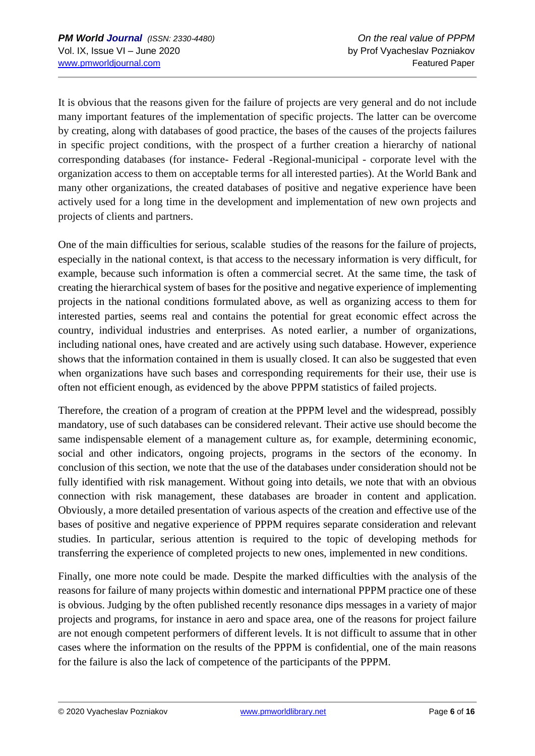It is obvious that the reasons given for the failure of projects are very general and do not include many important features of the implementation of specific projects. The latter can be overcome by creating, along with databases of good practice, the bases of the causes of the projects failures in specific project conditions, with the prospect of a further creation a hierarchy of national corresponding databases (for instance- Federal -Regional-municipal - corporate level with the organization access to them on acceptable terms for all interested parties). At the World Bank and many other organizations, the created databases of positive and negative experience have been actively used for a long time in the development and implementation of new own projects and projects of clients and partners.

One of the main difficulties for serious, scalable studies of the reasons for the failure of projects, especially in the national context, is that access to the necessary information is very difficult, for example, because such information is often a commercial secret. At the same time, the task of creating the hierarchical system of bases for the positive and negative experience of implementing projects in the national conditions formulated above, as well as organizing access to them for interested parties, seems real and contains the potential for great economic effect across the country, individual industries and enterprises. As noted earlier, a number of organizations, including national ones, have created and are actively using such database. However, experience shows that the information contained in them is usually closed. It can also be suggested that even when organizations have such bases and corresponding requirements for their use, their use is often not efficient enough, as evidenced by the above PPPM statistics of failed projects.

Therefore, the creation of a program of creation at the PPPM level and the widespread, possibly mandatory, use of such databases can be considered relevant. Their active use should become the same indispensable element of a management culture as, for example, determining economic, social and other indicators, ongoing projects, programs in the sectors of the economy. In conclusion of this section, we note that the use of the databases under consideration should not be fully identified with risk management. Without going into details, we note that with an obvious connection with risk management, these databases are broader in content and application. Obviously, a more detailed presentation of various aspects of the creation and effective use of the bases of positive and negative experience of PPPM requires separate consideration and relevant studies. In particular, serious attention is required to the topic of developing methods for transferring the experience of completed projects to new ones, implemented in new conditions.

Finally, one more note could be made. Despite the marked difficulties with the analysis of the reasons for failure of many projects within domestic and international PPPM practice one of these is obvious. Judging by the often published recently resonance dips messages in a variety of major projects and programs, for instance in aero and space area, one of the reasons for project failure are not enough competent performers of different levels. It is not difficult to assume that in other cases where the information on the results of the PPPM is confidential, one of the main reasons for the failure is also the lack of competence of the participants of the PPPM.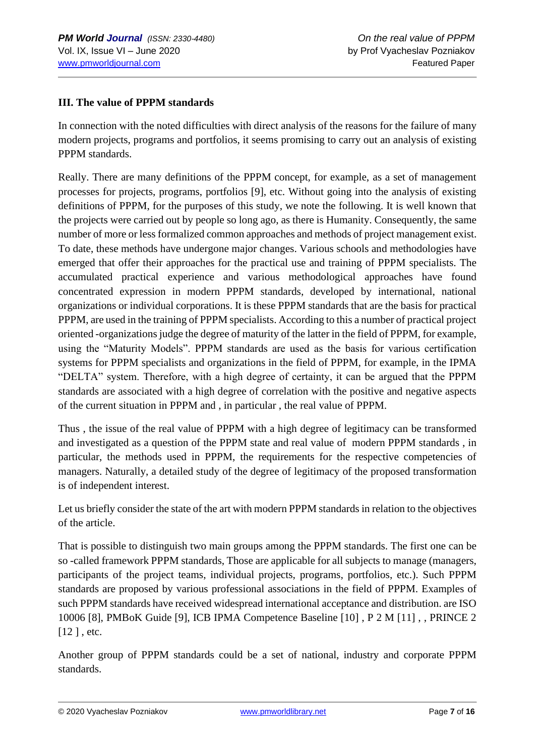#### **III. The value of PPPM standards**

In connection with the noted difficulties with direct analysis of the reasons for the failure of many modern projects, programs and portfolios, it seems promising to carry out an analysis of existing PPPM standards.

Really. There are many definitions of the PPPM concept, for example, as a set of management processes for projects, programs, portfolios [9], etc. Without going into the analysis of existing definitions of PPPM, for the purposes of this study, we note the following. It is well known that the projects were carried out by people so long ago, as there is Humanity. Consequently, the same number of more or less formalized common approaches and methods of project management exist. To date, these methods have undergone major changes. Various schools and methodologies have emerged that offer their approaches for the practical use and training of PPPM specialists. The accumulated practical experience and various methodological approaches have found concentrated expression in modern PPPM standards, developed by international, national organizations or individual corporations. It is these PPPM standards that are the basis for practical PPPM, are used in the training of PPPM specialists. According to this a number of practical project oriented -organizations judge the degree of maturity of the latter in the field of PPPM, for example, using the "Maturity Models". PPPM standards are used as the basis for various certification systems for PPPM specialists and organizations in the field of PPPM, for example, in the IPMA "DELTA" system. Therefore, with a high degree of certainty, it can be argued that the PPPM standards are associated with a high degree of correlation with the positive and negative aspects of the current situation in PPPM and , in particular , the real value of PPPM.

Thus , the issue of the real value of PPPM with a high degree of legitimacy can be transformed and investigated as a question of the PPPM state and real value of modern PPPM standards , in particular, the methods used in PPPM, the requirements for the respective competencies of managers. Naturally, a detailed study of the degree of legitimacy of the proposed transformation is of independent interest.

Let us briefly consider the state of the art with modern PPPM standards in relation to the objectives of the article.

That is possible to distinguish two main groups among the PPPM standards. The first one can be so -called framework PPPM standards, Those are applicable for all subjects to manage (managers, participants of the project teams, individual projects, programs, portfolios, etc.). Such PPPM standards are proposed by various professional associations in the field of PPPM. Examples of such PPPM standards have received widespread international acceptance and distribution. are ISO 10006 [8], PMBoK Guide [9], ICB IPMA Competence Baseline [10] , P 2 M [11] , , PRINCE 2 [12], etc.

Another group of PPPM standards could be a set of national, industry and corporate PPPM standards.

© 2020 Vyacheslav Pozniakov [www.pmworldlibrary.net](http://www.pmworldlibrary.net/) Page **7** of **16**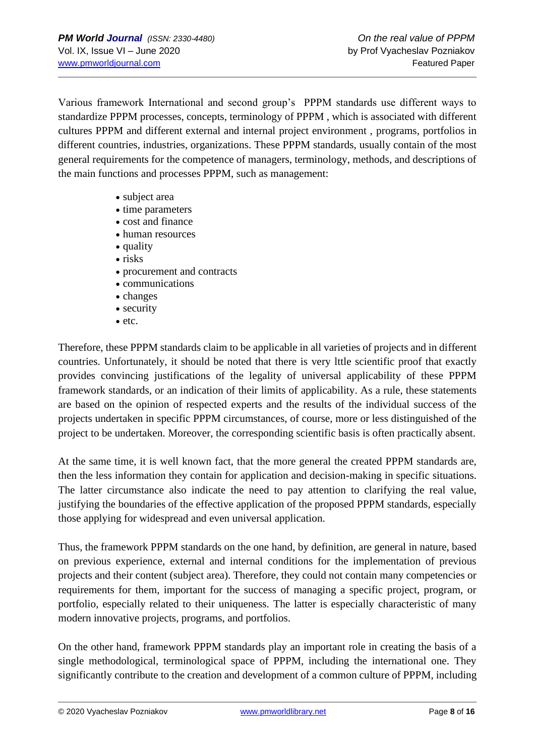Various framework International and second group's PPPM standards use different ways to standardize PPPM processes, concepts, terminology of PPPM , which is associated with different cultures PPPM and different external and internal project environment , programs, portfolios in different countries, industries, organizations. These PPPM standards, usually contain of the most general requirements for the competence of managers, terminology, methods, and descriptions of the main functions and processes PPPM, such as management:

- subject area
- time parameters
- cost and finance
- human resources
- quality
- risks
- procurement and contracts
- communications
- changes
- security
- etc.

Therefore, these PPPM standards claim to be applicable in all varieties of projects and in different countries. Unfortunately, it should be noted that there is very lttle scientific proof that exactly provides convincing justifications of the legality of universal applicability of these PPPM framework standards, or an indication of their limits of applicability. As a rule, these statements are based on the opinion of respected experts and the results of the individual success of the projects undertaken in specific PPPM circumstances, of course, more or less distinguished of the project to be undertaken. Moreover, the corresponding scientific basis is often practically absent.

At the same time, it is well known fact, that the more general the created PPPM standards are, then the less information they contain for application and decision-making in specific situations. The latter circumstance also indicate the need to pay attention to clarifying the real value, justifying the boundaries of the effective application of the proposed PPPM standards, especially those applying for widespread and even universal application.

Thus, the framework PPPM standards on the one hand, by definition, are general in nature, based on previous experience, external and internal conditions for the implementation of previous projects and their content (subject area). Therefore, they could not contain many competencies or requirements for them, important for the success of managing a specific project, program, or portfolio, especially related to their uniqueness. The latter is especially characteristic of many modern innovative projects, programs, and portfolios.

On the other hand, framework PPPM standards play an important role in creating the basis of a single methodological, terminological space of PPPM, including the international one. They significantly contribute to the creation and development of a common culture of PPPM, including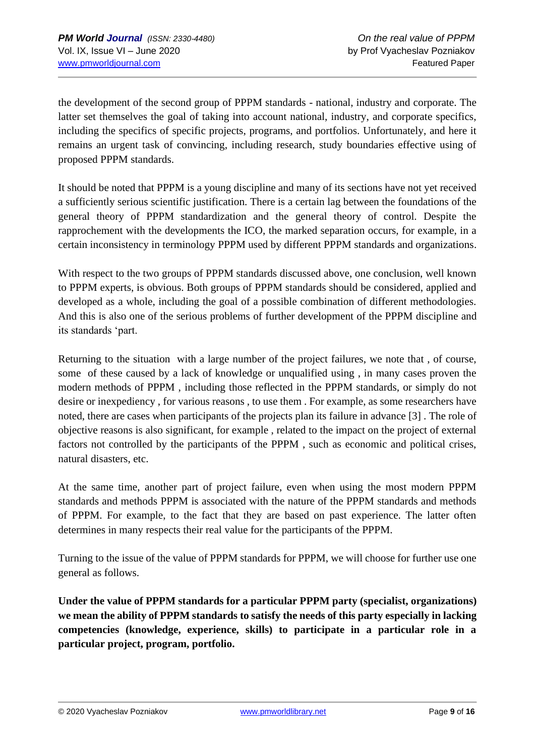the development of the second group of PPPM standards - national, industry and corporate. The latter set themselves the goal of taking into account national, industry, and corporate specifics, including the specifics of specific projects, programs, and portfolios. Unfortunately, and here it remains an urgent task of convincing, including research, study boundaries effective using of proposed PPPM standards.

It should be noted that PPPM is a young discipline and many of its sections have not yet received a sufficiently serious scientific justification. There is a certain lag between the foundations of the general theory of PPPM standardization and the general theory of control. Despite the rapprochement with the developments the ICO, the marked separation occurs, for example, in a certain inconsistency in terminology PPPM used by different PPPM standards and organizations.

With respect to the two groups of PPPM standards discussed above, one conclusion, well known to PPPM experts, is obvious. Both groups of PPPM standards should be considered, applied and developed as a whole, including the goal of a possible combination of different methodologies. And this is also one of the serious problems of further development of the PPPM discipline and its standards 'part.

Returning to the situation with a large number of the project failures, we note that , of course, some of these caused by a lack of knowledge or unqualified using , in many cases proven the modern methods of PPPM , including those reflected in the PPPM standards, or simply do not desire or inexpediency , for various reasons , to use them . For example, as some researchers have noted, there are cases when participants of the projects plan its failure in advance [3] . The role of objective reasons is also significant, for example , related to the impact on the project of external factors not controlled by the participants of the PPPM , such as economic and political crises, natural disasters, etc.

At the same time, another part of project failure, even when using the most modern PPPM standards and methods PPPM is associated with the nature of the PPPM standards and methods of PPPM. For example, to the fact that they are based on past experience. The latter often determines in many respects their real value for the participants of the PPPM.

Turning to the issue of the value of PPPM standards for PPPM, we will choose for further use one general as follows.

**Under the value of PPPM standards for a particular PPPM party (specialist, organizations) we mean the ability of PPPM standards to satisfy the needs of this party especially in lacking competencies (knowledge, experience, skills) to participate in a particular role in a particular project, program, portfolio.**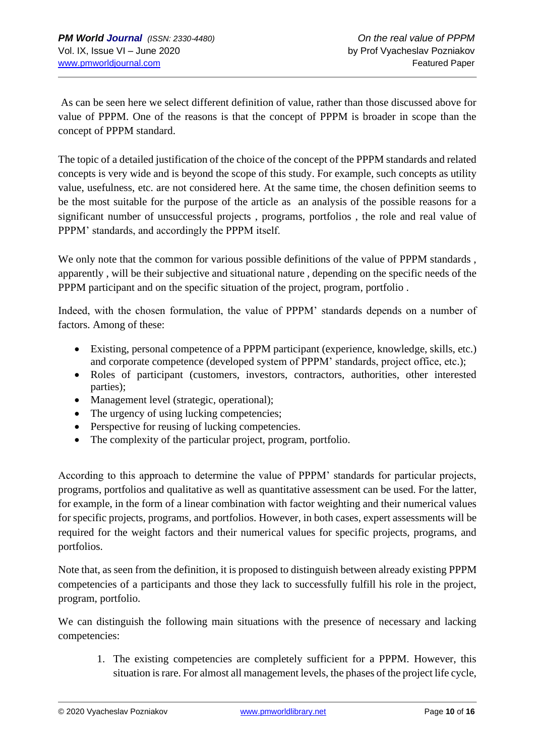As can be seen here we select different definition of value, rather than those discussed above for value of PPPM. One of the reasons is that the concept of PPPM is broader in scope than the concept of PPPM standard.

The topic of a detailed justification of the choice of the concept of the PPPM standards and related concepts is very wide and is beyond the scope of this study. For example, such concepts as utility value, usefulness, etc. are not considered here. At the same time, the chosen definition seems to be the most suitable for the purpose of the article as an analysis of the possible reasons for a significant number of unsuccessful projects , programs, portfolios , the role and real value of PPPM' standards, and accordingly the PPPM itself.

We only note that the common for various possible definitions of the value of PPPM standards, apparently , will be their subjective and situational nature , depending on the specific needs of the PPPM participant and on the specific situation of the project, program, portfolio .

Indeed, with the chosen formulation, the value of PPPM' standards depends on a number of factors. Among of these:

- Existing, personal competence of a PPPM participant (experience, knowledge, skills, etc.) and corporate competence (developed system of PPPM' standards, project office, etc.);
- Roles of participant (customers, investors, contractors, authorities, other interested parties);
- Management level (strategic, operational);
- The urgency of using lucking competencies;
- Perspective for reusing of lucking competencies.
- The complexity of the particular project, program, portfolio.

According to this approach to determine the value of PPPM' standards for particular projects, programs, portfolios and qualitative as well as quantitative assessment can be used. For the latter, for example, in the form of a linear combination with factor weighting and their numerical values for specific projects, programs, and portfolios. However, in both cases, expert assessments will be required for the weight factors and their numerical values for specific projects, programs, and portfolios.

Note that, as seen from the definition, it is proposed to distinguish between already existing PPPM competencies of a participants and those they lack to successfully fulfill his role in the project, program, portfolio.

We can distinguish the following main situations with the presence of necessary and lacking competencies:

1. The existing competencies are completely sufficient for a PPPM. However, this situation is rare. For almost all management levels, the phases of the project life cycle,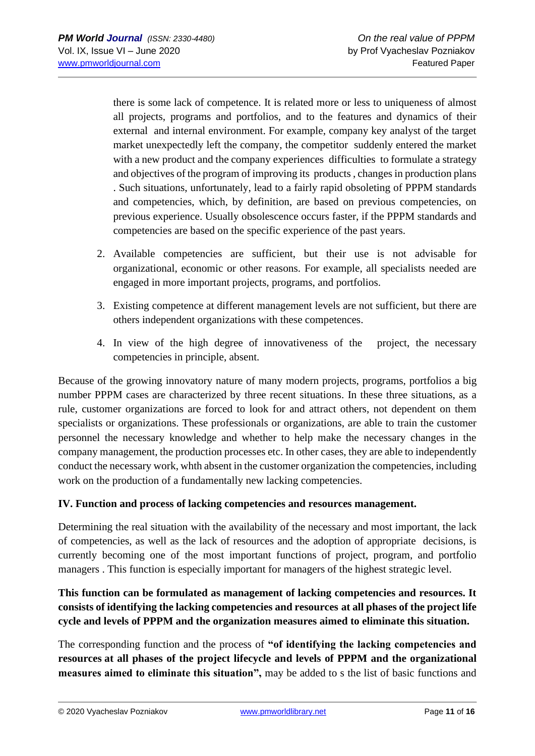there is some lack of competence. It is related more or less to uniqueness of almost all projects, programs and portfolios, and to the features and dynamics of their external and internal environment. For example, company key analyst of the target market unexpectedly left the company, the competitor suddenly entered the market with a new product and the company experiences difficulties to formulate a strategy and objectives of the program of improving its products , changes in production plans . Such situations, unfortunately, lead to a fairly rapid obsoleting of PPPM standards and competencies, which, by definition, are based on previous competencies, on previous experience. Usually obsolescence occurs faster, if the PPPM standards and competencies are based on the specific experience of the past years.

- 2. Available competencies are sufficient, but their use is not advisable for organizational, economic or other reasons. For example, all specialists needed are engaged in more important projects, programs, and portfolios.
- 3. Existing competence at different management levels are not sufficient, but there are others independent organizations with these competences.
- 4. In view of the high degree of innovativeness of the project, the necessary competencies in principle, absent.

Because of the growing innovatory nature of many modern projects, programs, portfolios a big number PPPM cases are characterized by three recent situations. In these three situations, as a rule, customer organizations are forced to look for and attract others, not dependent on them specialists or organizations. These professionals or organizations, are able to train the customer personnel the necessary knowledge and whether to help make the necessary changes in the company management, the production processes etc. In other cases, they are able to independently conduct the necessary work, whth absent in the customer organization the competencies, including work on the production of a fundamentally new lacking competencies.

#### **IV. Function and process of lacking competencies and resources management.**

Determining the real situation with the availability of the necessary and most important, the lack of competencies, as well as the lack of resources and the adoption of appropriate decisions, is currently becoming one of the most important functions of project, program, and portfolio managers . This function is especially important for managers of the highest strategic level.

## **This function can be formulated as management of lacking competencies and resources. It consists of identifying the lacking competencies and resources at all phases of the project life cycle and levels of PPPM and the organization measures aimed to eliminate this situation.**

The corresponding function and the process of **"of identifying the lacking competencies and resources at all phases of the project lifecycle and levels of PPPM and the organizational measures aimed to eliminate this situation",** may be added to s the list of basic functions and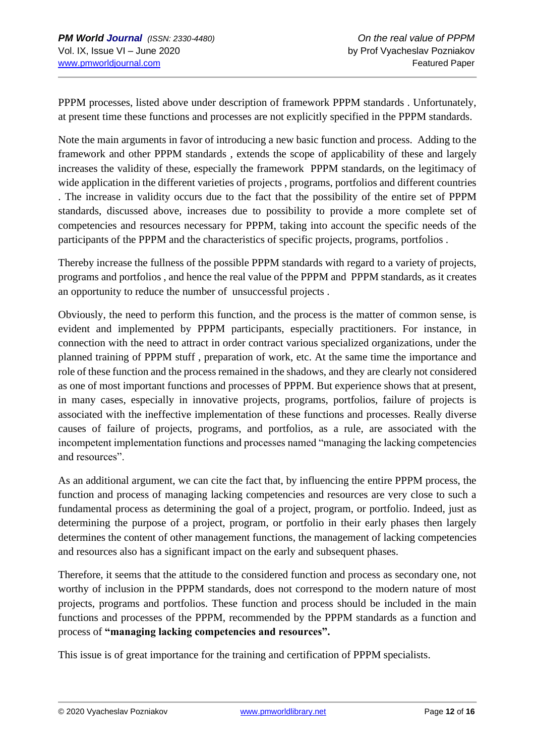PPPM processes, listed above under description of framework PPPM standards . Unfortunately, at present time these functions and processes are not explicitly specified in the PPPM standards.

Note the main arguments in favor of introducing a new basic function and process. Adding to the framework and other PPPM standards , extends the scope of applicability of these and largely increases the validity of these, especially the framework PPPM standards, on the legitimacy of wide application in the different varieties of projects , programs, portfolios and different countries . The increase in validity occurs due to the fact that the possibility of the entire set of PPPM standards, discussed above, increases due to possibility to provide a more complete set of competencies and resources necessary for PPPM, taking into account the specific needs of the participants of the PPPM and the characteristics of specific projects, programs, portfolios .

Thereby increase the fullness of the possible PPPM standards with regard to a variety of projects, programs and portfolios , and hence the real value of the PPPM and PPPM standards, as it creates an opportunity to reduce the number of unsuccessful projects .

Obviously, the need to perform this function, and the process is the matter of common sense, is evident and implemented by PPPM participants, especially practitioners. For instance, in connection with the need to attract in order contract various specialized organizations, under the planned training of PPPM stuff , preparation of work, etc. At the same time the importance and role of these function and the process remained in the shadows, and they are clearly not considered as one of most important functions and processes of PPPM. But experience shows that at present, in many cases, especially in innovative projects, programs, portfolios, failure of projects is associated with the ineffective implementation of these functions and processes. Really diverse causes of failure of projects, programs, and portfolios, as a rule, are associated with the incompetent implementation functions and processes named "managing the lacking competencies and resources".

As an additional argument, we can cite the fact that, by influencing the entire PPPM process, the function and process of managing lacking competencies and resources are very close to such a fundamental process as determining the goal of a project, program, or portfolio. Indeed, just as determining the purpose of a project, program, or portfolio in their early phases then largely determines the content of other management functions, the management of lacking competencies and resources also has a significant impact on the early and subsequent phases.

Therefore, it seems that the attitude to the considered function and process as secondary one, not worthy of inclusion in the PPPM standards, does not correspond to the modern nature of most projects, programs and portfolios. These function and process should be included in the main functions and processes of the PPPM, recommended by the PPPM standards as a function and process of **"managing lacking competencies and resources".**

This issue is of great importance for the training and certification of PPPM specialists.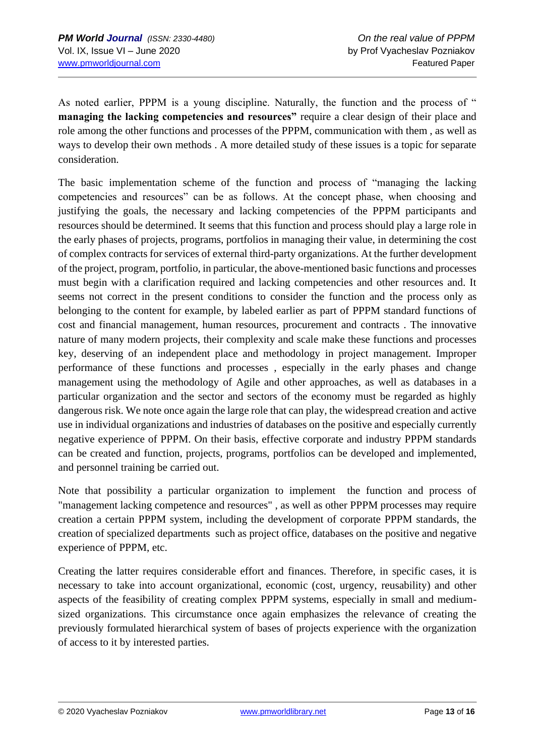As noted earlier, PPPM is a young discipline. Naturally, the function and the process of " **managing the lacking competencies and resources"** require a clear design of their place and role among the other functions and processes of the PPPM, communication with them , as well as ways to develop their own methods . A more detailed study of these issues is a topic for separate consideration.

The basic implementation scheme of the function and process of "managing the lacking competencies and resources" can be as follows. At the concept phase, when choosing and justifying the goals, the necessary and lacking competencies of the PPPM participants and resources should be determined. It seems that this function and process should play a large role in the early phases of projects, programs, portfolios in managing their value, in determining the cost of complex contracts for services of external third-party organizations. At the further development of the project, program, portfolio, in particular, the above-mentioned basic functions and processes must begin with a clarification required and lacking competencies and other resources and. It seems not correct in the present conditions to consider the function and the process only as belonging to the content for example, by labeled earlier as part of PPPM standard functions of cost and financial management, human resources, procurement and contracts . The innovative nature of many modern projects, their complexity and scale make these functions and processes key, deserving of an independent place and methodology in project management. Improper performance of these functions and processes , especially in the early phases and change management using the methodology of Agile and other approaches, as well as databases in a particular organization and the sector and sectors of the economy must be regarded as highly dangerous risk. We note once again the large role that can play, the widespread creation and active use in individual organizations and industries of databases on the positive and especially currently negative experience of PPPM. On their basis, effective corporate and industry PPPM standards can be created and function, projects, programs, portfolios can be developed and implemented, and personnel training be carried out.

Note that possibility a particular organization to implement the function and process of "management lacking competence and resources" , as well as other PPPM processes may require creation a certain PPPM system, including the development of corporate PPPM standards, the creation of specialized departments such as project office, databases on the positive and negative experience of PPPM, etc.

Creating the latter requires considerable effort and finances. Therefore, in specific cases, it is necessary to take into account organizational, economic (cost, urgency, reusability) and other aspects of the feasibility of creating complex PPPM systems, especially in small and mediumsized organizations. This circumstance once again emphasizes the relevance of creating the previously formulated hierarchical system of bases of projects experience with the organization of access to it by interested parties.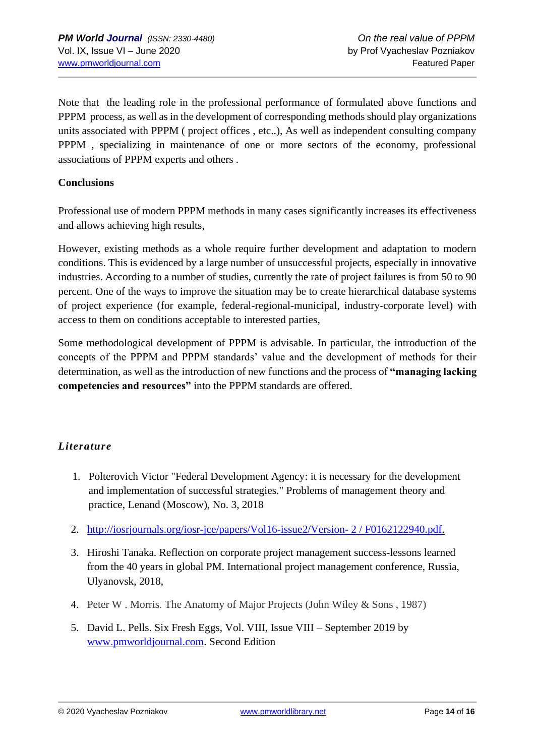Note that the leading role in the professional performance of formulated above functions and PPPM process, as well as in the development of corresponding methods should play organizations units associated with PPPM ( project offices , etc..), As well as independent consulting company PPPM , specializing in maintenance of one or more sectors of the economy, professional associations of PPPM experts and others .

#### **Conclusions**

Professional use of modern PPPM methods in many cases significantly increases its effectiveness and allows achieving high results,

However, existing methods as a whole require further development and adaptation to modern conditions. This is evidenced by a large number of unsuccessful projects, especially in innovative industries. According to a number of studies, currently the rate of project failures is from 50 to 90 percent. One of the ways to improve the situation may be to create hierarchical database systems of project experience (for example, federal-regional-municipal, industry-corporate level) with access to them on conditions acceptable to interested parties,

Some methodological development of PPPM is advisable. In particular, the introduction of the concepts of the PPPM and PPPM standards' value and the development of methods for their determination, as well as the introduction of new functions and the process of **"managing lacking competencies and resources"** into the PPPM standards are offered.

### *Literature*

- 1. Polterovich Victor "Federal Development Agency: it is necessary for the development and implementation of successful strategies." Problems of management theory and practice, Lenand (Moscow), No. 3, 2018
- 2. [http://iosrjournals.org/iosr-jce/papers/Vol16-issue2/Version-](https://translate.google.com/translate?hl=ru&prev=_t&sl=ru&tl=en&u=http://iosrjournals.org/iosr-jce/papers/Vol16-issue2/Version-%25202/F0162122940.pdf) 2 / F0162122940.pdf.
- 3. Hiroshi Tanaka. Reflection on corporate project management success-lessons learned from the 40 years in global PM. International project management conference, Russia, Ulyanovsk, 2018,
- 4. Peter W . Morris. The Anatomy of Major Projects (John Wiley & Sons , 1987)
- 5. David L. Pells. Six Fresh Eggs, Vol. VIII, Issue VIII September 2019 by [www.pmworldjournal.com.](http://www.pmworldjournal.com/) Second Edition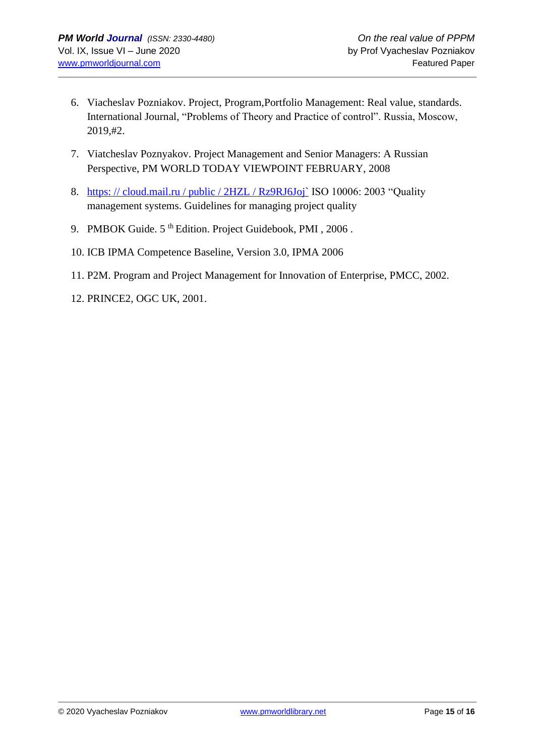- 6. Viacheslav Pozniakov. Project, Program,Portfolio Management: Real value, standards. International Journal, "Problems of Theory and Practice of control". Russia, Moscow, 2019,#2.
- 7. Viatcheslav Poznyakov. Project Management and Senior Managers: A Russian Perspective, PM WORLD TODAY VIEWPOINT FEBRUARY, 2008
- 8. [https: // cloud.mail.ru / public / 2HZL / Rz9RJ6Joj`](https://translate.google.com/translate?hl=ru&prev=_t&sl=ru&tl=en&u=https://cloud.mail.ru/public/2HZL/Rz9RJ6Joj%2560) ISO 10006: 2003 "Quality management systems. Guidelines for managing project quality
- 9. PMBOK Guide. 5<sup>th</sup> Edition. Project Guidebook, PMI, 2006.
- 10. ICB IPMA Competence Baseline, Version 3.0, IPMA 2006
- 11. P2M. Program and Project Management for Innovation of Enterprise, PMCC, 2002.
- 12. PRINCE2, OGC UK, 2001.